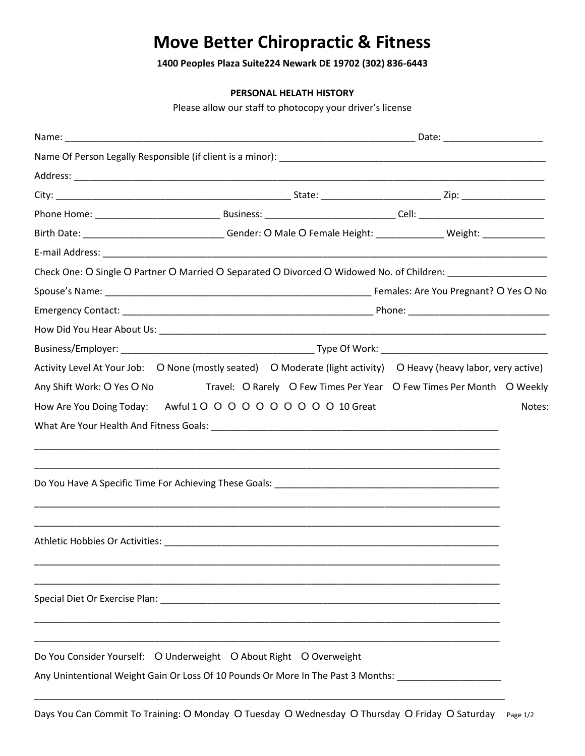## **Move Better Chiropractic & Fitness**

**1400 Peoples Plaza Suite224 Newark DE 19702 (302) 836-6443**

## **PERSONAL HELATH HISTORY**

Please allow our staff to photocopy your driver's license

| Birth Date: ________________________________Gender: O Male O Female Height: _______________ Weight: _____________ |        |
|-------------------------------------------------------------------------------------------------------------------|--------|
|                                                                                                                   |        |
| Check One: O Single O Partner O Married O Separated O Divorced O Widowed No. of Children: ___________________     |        |
|                                                                                                                   |        |
|                                                                                                                   |        |
|                                                                                                                   |        |
|                                                                                                                   |        |
| Activity Level At Your Job: O None (mostly seated) O Moderate (light activity) O Heavy (heavy labor, very active) |        |
| Any Shift Work: O Yes O No Travel: O Rarely O Few Times Per Year O Few Times Per Month O Weekly                   |        |
| How Are You Doing Today: Awful 1 O O O O O O O O O 10 Great                                                       | Notes: |
|                                                                                                                   |        |
|                                                                                                                   |        |
|                                                                                                                   |        |
|                                                                                                                   |        |
|                                                                                                                   |        |
|                                                                                                                   |        |
| Athletic Hobbies Or Activities: Athletic Activities of the Activities of the Activities of Activities of Activ    |        |
|                                                                                                                   |        |
|                                                                                                                   |        |
| Special Diet Or Exercise Plan: National Contract of Contract Contract of Contract Contract Contract Contract Co   |        |
|                                                                                                                   |        |
|                                                                                                                   |        |
| Do You Consider Yourself: O Underweight O About Right O Overweight                                                |        |
| Any Unintentional Weight Gain Or Loss Of 10 Pounds Or More In The Past 3 Months:                                  |        |
|                                                                                                                   |        |